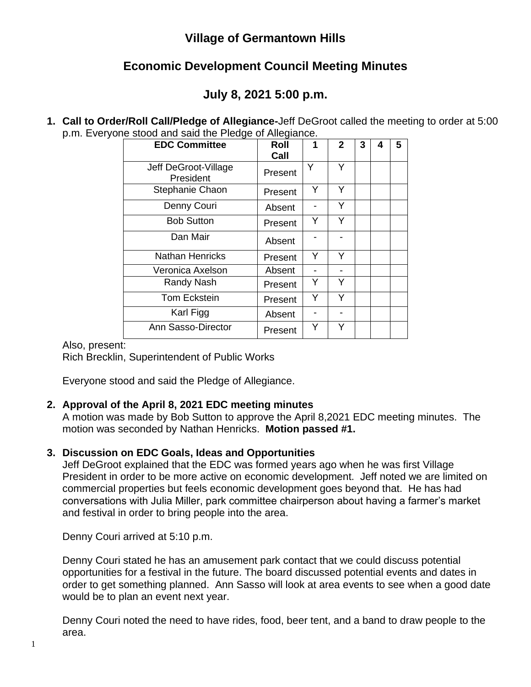## **Village of Germantown Hills**

## **Economic Development Council Meeting Minutes**

# **July 8, 2021 5:00 p.m.**

**1. Call to Order/Roll Call/Pledge of Allegiance-**Jeff DeGroot called the meeting to order at 5:00 p.m. Everyone stood and said the Pledge of Allegiance.

| <b>EDC Committee</b>              | Roll<br>Call | 1 | $\mathbf{2}$ | 3 | 4 | 5 |
|-----------------------------------|--------------|---|--------------|---|---|---|
| Jeff DeGroot-Village<br>President | Present      | Y | Y            |   |   |   |
| Stephanie Chaon                   | Present      | Y | Y            |   |   |   |
| Denny Couri                       | Absent       |   | Y            |   |   |   |
| <b>Bob Sutton</b>                 | Present      | Y | Y            |   |   |   |
| Dan Mair                          | Absent       |   |              |   |   |   |
| <b>Nathan Henricks</b>            | Present      | Y | Y            |   |   |   |
| Veronica Axelson                  | Absent       |   |              |   |   |   |
| Randy Nash                        | Present      | Y | Y            |   |   |   |
| <b>Tom Eckstein</b>               | Present      | Y | Y            |   |   |   |
| Karl Figg                         | Absent       |   |              |   |   |   |
| Ann Sasso-Director                | Present      | Y | Y            |   |   |   |

### Also, present:

Rich Brecklin, Superintendent of Public Works

Everyone stood and said the Pledge of Allegiance.

## **2. Approval of the April 8, 2021 EDC meeting minutes**

A motion was made by Bob Sutton to approve the April 8,2021 EDC meeting minutes. The motion was seconded by Nathan Henricks. **Motion passed #1.**

## **3. Discussion on EDC Goals, Ideas and Opportunities**

Jeff DeGroot explained that the EDC was formed years ago when he was first Village President in order to be more active on economic development. Jeff noted we are limited on commercial properties but feels economic development goes beyond that. He has had conversations with Julia Miller, park committee chairperson about having a farmer's market and festival in order to bring people into the area.

Denny Couri arrived at 5:10 p.m.

Denny Couri stated he has an amusement park contact that we could discuss potential opportunities for a festival in the future. The board discussed potential events and dates in order to get something planned. Ann Sasso will look at area events to see when a good date would be to plan an event next year.

Denny Couri noted the need to have rides, food, beer tent, and a band to draw people to the area.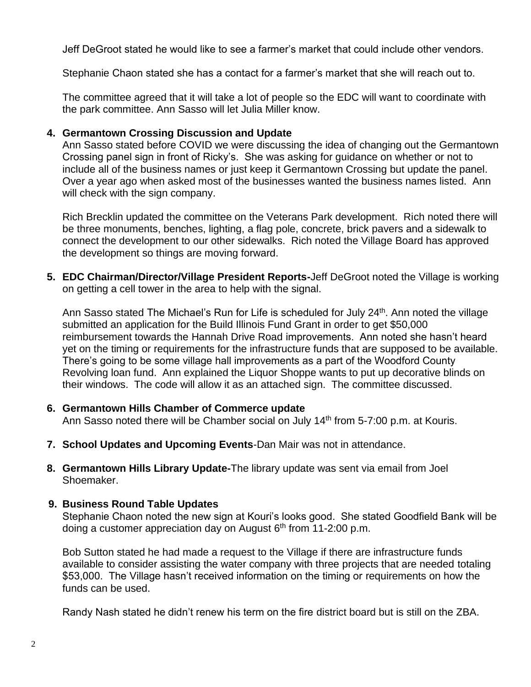Jeff DeGroot stated he would like to see a farmer's market that could include other vendors.

Stephanie Chaon stated she has a contact for a farmer's market that she will reach out to.

The committee agreed that it will take a lot of people so the EDC will want to coordinate with the park committee. Ann Sasso will let Julia Miller know.

#### **4. Germantown Crossing Discussion and Update**

Ann Sasso stated before COVID we were discussing the idea of changing out the Germantown Crossing panel sign in front of Ricky's. She was asking for guidance on whether or not to include all of the business names or just keep it Germantown Crossing but update the panel. Over a year ago when asked most of the businesses wanted the business names listed. Ann will check with the sign company.

Rich Brecklin updated the committee on the Veterans Park development. Rich noted there will be three monuments, benches, lighting, a flag pole, concrete, brick pavers and a sidewalk to connect the development to our other sidewalks. Rich noted the Village Board has approved the development so things are moving forward.

**5. EDC Chairman/Director/Village President Reports-**Jeff DeGroot noted the Village is working on getting a cell tower in the area to help with the signal.

Ann Sasso stated The Michael's Run for Life is scheduled for July 24<sup>th</sup>. Ann noted the village submitted an application for the Build Illinois Fund Grant in order to get \$50,000 reimbursement towards the Hannah Drive Road improvements. Ann noted she hasn't heard yet on the timing or requirements for the infrastructure funds that are supposed to be available. There's going to be some village hall improvements as a part of the Woodford County Revolving loan fund. Ann explained the Liquor Shoppe wants to put up decorative blinds on their windows. The code will allow it as an attached sign. The committee discussed.

### **6. Germantown Hills Chamber of Commerce update**

Ann Sasso noted there will be Chamber social on July 14<sup>th</sup> from 5-7:00 p.m. at Kouris.

- **7. School Updates and Upcoming Events**-Dan Mair was not in attendance.
- **8. Germantown Hills Library Update-**The library update was sent via email from Joel Shoemaker.

### **9. Business Round Table Updates**

Stephanie Chaon noted the new sign at Kouri's looks good. She stated Goodfield Bank will be doing a customer appreciation day on August 6<sup>th</sup> from 11-2:00 p.m.

Bob Sutton stated he had made a request to the Village if there are infrastructure funds available to consider assisting the water company with three projects that are needed totaling \$53,000. The Village hasn't received information on the timing or requirements on how the funds can be used.

Randy Nash stated he didn't renew his term on the fire district board but is still on the ZBA.